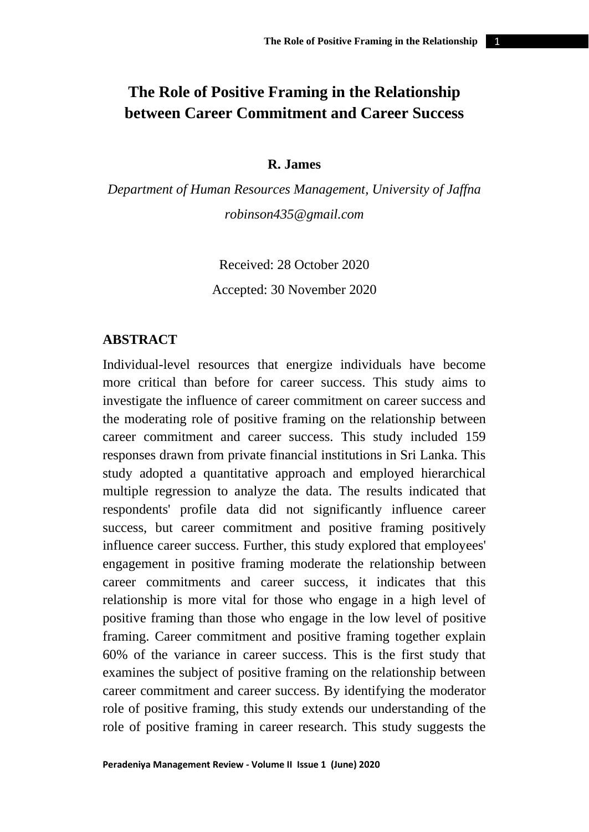# **The Role of Positive Framing in the Relationship between Career Commitment and Career Success**

### **R. James**

*Department of Human Resources Management, University of Jaffna [robinson435@gmail.com](mailto:robinson435@gmail.com)*

Received: 28 October 2020

Accepted: 30 November 2020

# **ABSTRACT**

Individual-level resources that energize individuals have become more critical than before for career success. This study aims to investigate the influence of career commitment on career success and the moderating role of positive framing on the relationship between career commitment and career success. This study included 159 responses drawn from private financial institutions in Sri Lanka. This study adopted a quantitative approach and employed hierarchical multiple regression to analyze the data. The results indicated that respondents' profile data did not significantly influence career success, but career commitment and positive framing positively influence career success. Further, this study explored that employees' engagement in positive framing moderate the relationship between career commitments and career success, it indicates that this relationship is more vital for those who engage in a high level of positive framing than those who engage in the low level of positive framing. Career commitment and positive framing together explain 60% of the variance in career success. This is the first study that examines the subject of positive framing on the relationship between career commitment and career success. By identifying the moderator role of positive framing, this study extends our understanding of the role of positive framing in career research. This study suggests the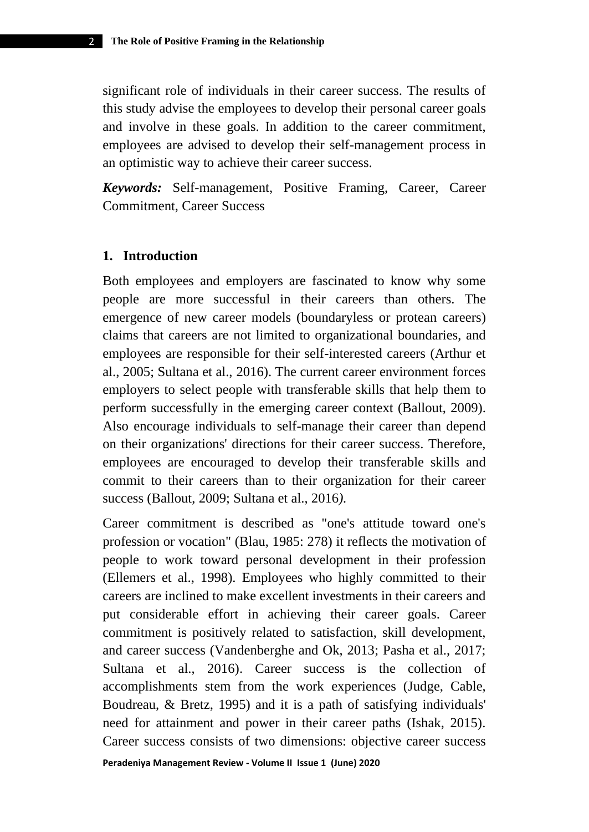significant role of individuals in their career success. The results of this study advise the employees to develop their personal career goals and involve in these goals. In addition to the career commitment, employees are advised to develop their self-management process in an optimistic way to achieve their career success.

*Keywords:* Self-management, Positive Framing, Career, Career Commitment, Career Success

#### **1. Introduction**

Both employees and employers are fascinated to know why some people are more successful in their careers than others. The emergence of new career models (boundaryless or protean careers) claims that careers are not limited to organizational boundaries, and employees are responsible for their self-interested careers (Arthur et al., 2005; Sultana et al., 2016). The current career environment forces employers to select people with transferable skills that help them to perform successfully in the emerging career context (Ballout, 2009). Also encourage individuals to self-manage their career than depend on their organizations' directions for their career success. Therefore, employees are encouraged to develop their transferable skills and commit to their careers than to their organization for their career success (Ballout, 2009; Sultana et al., 2016*).*

Career commitment is described as "one's attitude toward one's profession or vocation" (Blau, 1985: 278) it reflects the motivation of people to work toward personal development in their profession (Ellemers et al., 1998). Employees who highly committed to their careers are inclined to make excellent investments in their careers and put considerable effort in achieving their career goals. Career commitment is positively related to satisfaction, skill development, and career success (Vandenberghe and Ok, 2013; Pasha et al., 2017; Sultana et al., 2016). Career success is the collection of accomplishments stem from the work experiences (Judge, Cable, Boudreau, & Bretz, 1995) and it is a path of satisfying individuals' need for attainment and power in their career paths (Ishak, 2015). Career success consists of two dimensions: objective career success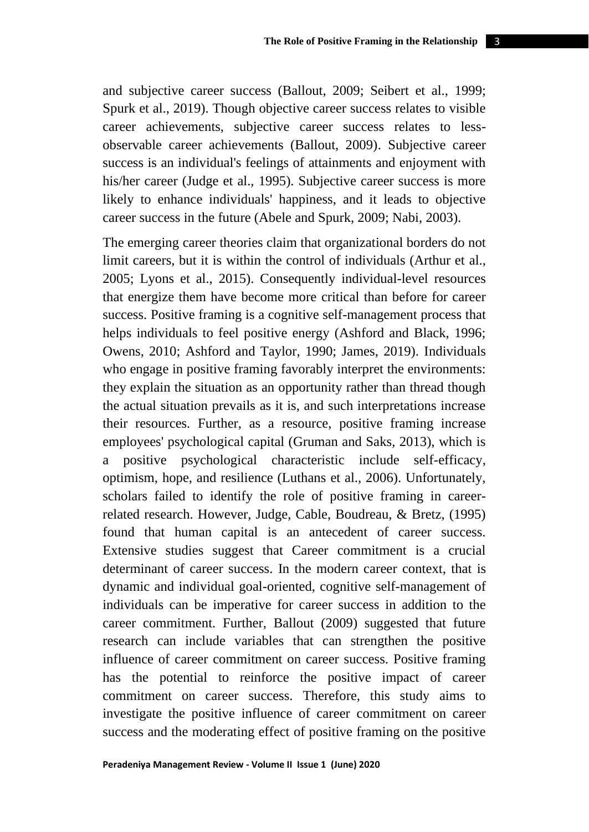and subjective career success (Ballout, 2009; Seibert et al., 1999; Spurk et al., 2019). Though objective career success relates to visible career achievements, subjective career success relates to lessobservable career achievements (Ballout, 2009). Subjective career success is an individual's feelings of attainments and enjoyment with his/her career (Judge et al., 1995). Subjective career success is more likely to enhance individuals' happiness, and it leads to objective career success in the future (Abele and Spurk, 2009; Nabi, 2003).

The emerging career theories claim that organizational borders do not limit careers, but it is within the control of individuals (Arthur et al., 2005; Lyons et al., 2015). Consequently individual-level resources that energize them have become more critical than before for career success. Positive framing is a cognitive self-management process that helps individuals to feel positive energy (Ashford and Black, 1996; Owens, 2010; Ashford and Taylor, 1990; James, 2019). Individuals who engage in positive framing favorably interpret the environments: they explain the situation as an opportunity rather than thread though the actual situation prevails as it is, and such interpretations increase their resources. Further, as a resource, positive framing increase employees' psychological capital (Gruman and Saks, 2013), which is a positive psychological characteristic include self-efficacy, optimism, hope, and resilience (Luthans et al., 2006). Unfortunately, scholars failed to identify the role of positive framing in careerrelated research. However, Judge, Cable, Boudreau, & Bretz, (1995) found that human capital is an antecedent of career success. Extensive studies suggest that Career commitment is a crucial determinant of career success. In the modern career context, that is dynamic and individual goal-oriented, cognitive self-management of individuals can be imperative for career success in addition to the career commitment. Further, Ballout (2009) suggested that future research can include variables that can strengthen the positive influence of career commitment on career success. Positive framing has the potential to reinforce the positive impact of career commitment on career success. Therefore, this study aims to investigate the positive influence of career commitment on career success and the moderating effect of positive framing on the positive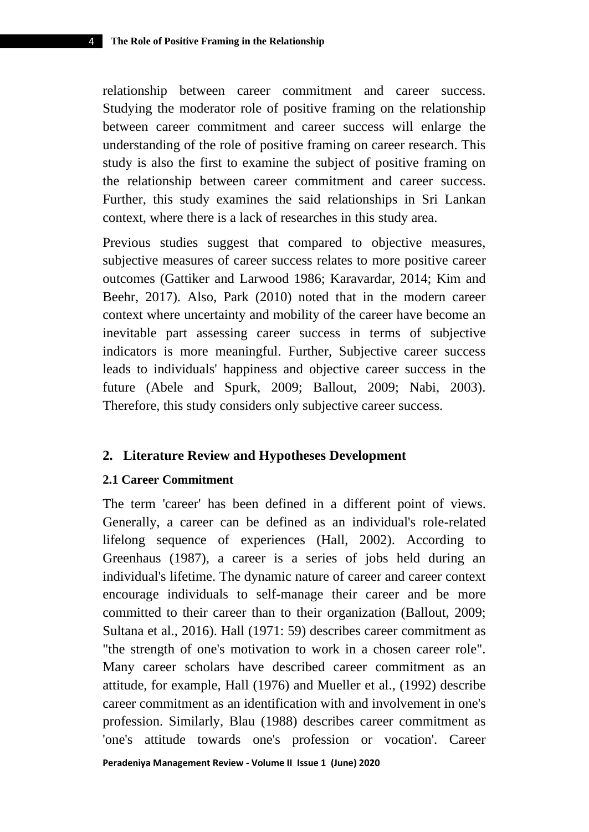relationship between career commitment and career success. Studying the moderator role of positive framing on the relationship between career commitment and career success will enlarge the understanding of the role of positive framing on career research. This study is also the first to examine the subject of positive framing on the relationship between career commitment and career success. Further, this study examines the said relationships in Sri Lankan context, where there is a lack of researches in this study area.

Previous studies suggest that compared to objective measures, subjective measures of career success relates to more positive career outcomes (Gattiker and Larwood 1986; Karavardar, 2014; Kim and Beehr, 2017). Also, Park (2010) noted that in the modern career context where uncertainty and mobility of the career have become an inevitable part assessing career success in terms of subjective indicators is more meaningful. Further, Subjective career success leads to individuals' happiness and objective career success in the future (Abele and Spurk, 2009; Ballout, 2009; Nabi, 2003). Therefore, this study considers only subjective career success.

### **2. Literature Review and Hypotheses Development**

#### **2.1 Career Commitment**

The term 'career' has been defined in a different point of views. Generally, a career can be defined as an individual's role-related lifelong sequence of experiences (Hall, 2002). According to Greenhaus (1987), a career is a series of jobs held during an individual's lifetime. The dynamic nature of career and career context encourage individuals to self-manage their career and be more committed to their career than to their organization (Ballout, 2009; Sultana et al., 2016). Hall (1971: 59) describes career commitment as "the strength of one's motivation to work in a chosen career role". Many career scholars have described career commitment as an attitude, for example, Hall (1976) and Mueller et al., (1992) describe career commitment as an identification with and involvement in one's profession. Similarly, Blau (1988) describes career commitment as 'one's attitude towards one's profession or vocation'. Career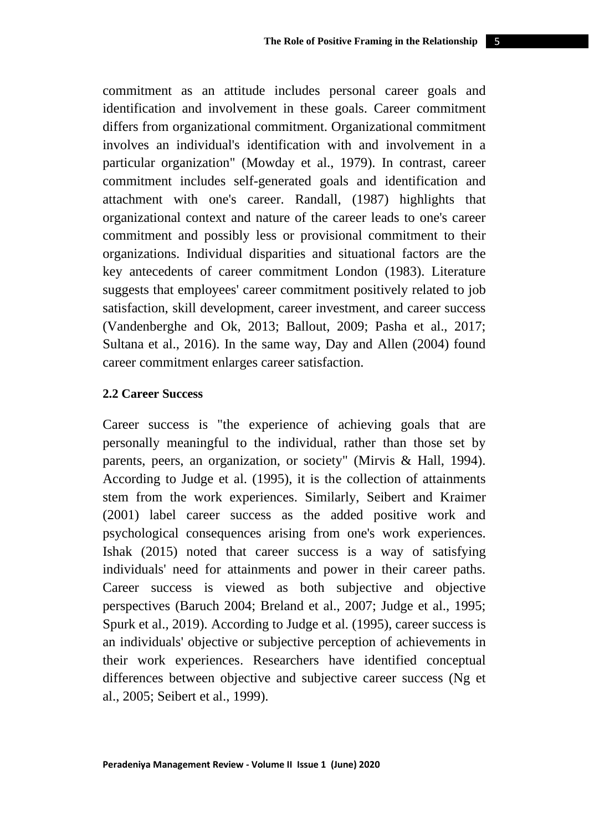commitment as an attitude includes personal career goals and identification and involvement in these goals. Career commitment differs from organizational commitment. Organizational commitment involves an individual's identification with and involvement in a particular organization" (Mowday et al., 1979). In contrast, career commitment includes self-generated goals and identification and attachment with one's career. Randall, (1987) highlights that organizational context and nature of the career leads to one's career commitment and possibly less or provisional commitment to their organizations. Individual disparities and situational factors are the key antecedents of career commitment London (1983). Literature suggests that employees' career commitment positively related to job satisfaction, skill development, career investment, and career success (Vandenberghe and Ok, 2013; Ballout, 2009; Pasha et al., 2017; Sultana et al., 2016). In the same way, Day and Allen (2004) found career commitment enlarges career satisfaction.

#### **2.2 Career Success**

Career success is "the experience of achieving goals that are personally meaningful to the individual, rather than those set by parents, peers, an organization, or society" (Mirvis & Hall, 1994). According to Judge et al. (1995), it is the collection of attainments stem from the work experiences. Similarly, Seibert and Kraimer (2001) label career success as the added positive work and psychological consequences arising from one's work experiences. Ishak (2015) noted that career success is a way of satisfying individuals' need for attainments and power in their career paths. Career success is viewed as both subjective and objective perspectives (Baruch 2004; Breland et al., 2007; Judge et al., 1995; Spurk et al.*,* 2019). According to Judge et al. (1995), career success is an individuals' objective or subjective perception of achievements in their work experiences. Researchers have identified conceptual differences between objective and subjective career success (Ng et al., 2005; Seibert et al., 1999).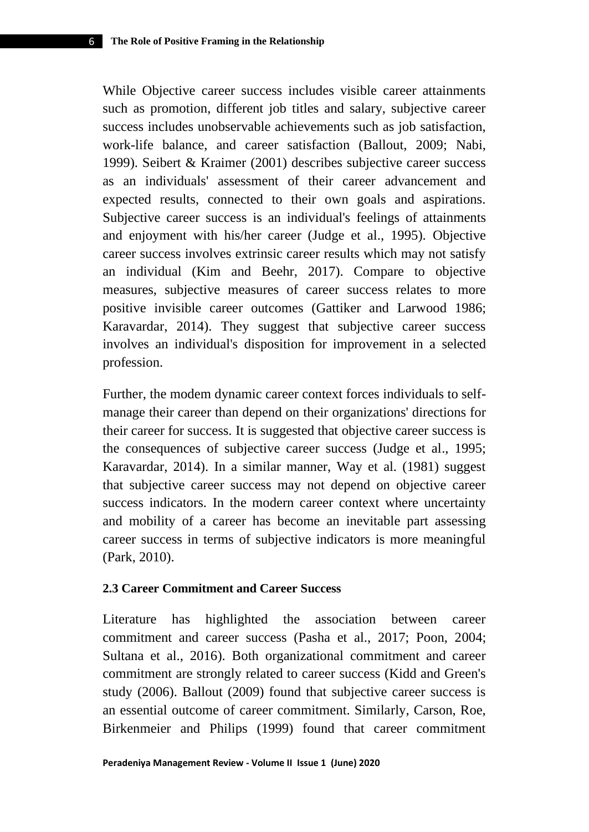While Objective career success includes visible career attainments such as promotion, different job titles and salary, subjective career success includes unobservable achievements such as job satisfaction, work-life balance, and career satisfaction (Ballout, 2009; Nabi, 1999). Seibert & Kraimer (2001) describes subjective career success as an individuals' assessment of their career advancement and expected results, connected to their own goals and aspirations. Subjective career success is an individual's feelings of attainments and enjoyment with his/her career (Judge et al., 1995). Objective career success involves extrinsic career results which may not satisfy an individual (Kim and Beehr, 2017). Compare to objective measures, subjective measures of career success relates to more positive invisible career outcomes (Gattiker and Larwood 1986; Karavardar, 2014). They suggest that subjective career success involves an individual's disposition for improvement in a selected profession.

Further, the modem dynamic career context forces individuals to selfmanage their career than depend on their organizations' directions for their career for success. It is suggested that objective career success is the consequences of subjective career success (Judge et al., 1995; Karavardar, 2014). In a similar manner, Way et al. (1981) suggest that subjective career success may not depend on objective career success indicators. In the modern career context where uncertainty and mobility of a career has become an inevitable part assessing career success in terms of subjective indicators is more meaningful (Park, 2010).

#### **2.3 Career Commitment and Career Success**

Literature has highlighted the association between career commitment and career success (Pasha et al., 2017; Poon, 2004; Sultana et al., 2016). Both organizational commitment and career commitment are strongly related to career success (Kidd and Green's study (2006). Ballout (2009) found that subjective career success is an essential outcome of career commitment. Similarly, Carson, Roe, Birkenmeier and Philips (1999) found that career commitment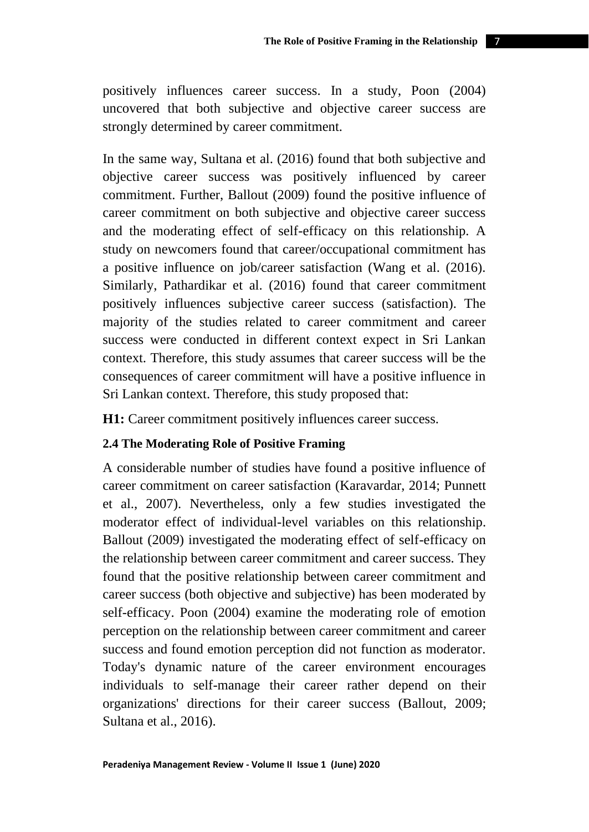positively influences career success. In a study, Poon (2004) uncovered that both subjective and objective career success are strongly determined by career commitment.

In the same way, Sultana et al. (2016) found that both subjective and objective career success was positively influenced by career commitment. Further, Ballout (2009) found the positive influence of career commitment on both subjective and objective career success and the moderating effect of self-efficacy on this relationship. A study on newcomers found that career/occupational commitment has a positive influence on job/career satisfaction (Wang et al. (2016). Similarly, Pathardikar et al. (2016) found that career commitment positively influences subjective career success (satisfaction). The majority of the studies related to career commitment and career success were conducted in different context expect in Sri Lankan context. Therefore, this study assumes that career success will be the consequences of career commitment will have a positive influence in Sri Lankan context. Therefore, this study proposed that:

**H1:** Career commitment positively influences career success.

### **2.4 The Moderating Role of Positive Framing**

A considerable number of studies have found a positive influence of career commitment on career satisfaction (Karavardar, 2014; Punnett et al., 2007). Nevertheless, only a few studies investigated the moderator effect of individual-level variables on this relationship. Ballout (2009) investigated the moderating effect of self-efficacy on the relationship between career commitment and career success. They found that the positive relationship between career commitment and career success (both objective and subjective) has been moderated by self-efficacy. Poon (2004) examine the moderating role of emotion perception on the relationship between career commitment and career success and found emotion perception did not function as moderator. Today's dynamic nature of the career environment encourages individuals to self-manage their career rather depend on their organizations' directions for their career success (Ballout, 2009; Sultana et al., 2016).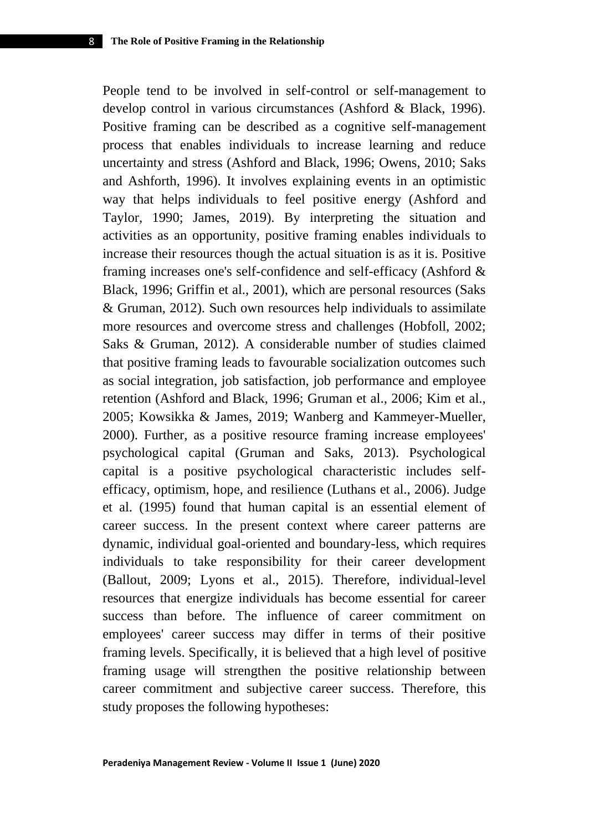People tend to be involved in self-control or self-management to develop control in various circumstances (Ashford & Black, 1996). Positive framing can be described as a cognitive self-management process that enables individuals to increase learning and reduce uncertainty and stress (Ashford and Black, 1996; Owens, 2010; Saks and Ashforth, 1996). It involves explaining events in an optimistic way that helps individuals to feel positive energy (Ashford and Taylor, 1990; James, 2019). By interpreting the situation and activities as an opportunity, positive framing enables individuals to increase their resources though the actual situation is as it is. Positive framing increases one's self-confidence and self-efficacy (Ashford & Black, 1996; Griffin et al., 2001), which are personal resources (Saks & Gruman, 2012). Such own resources help individuals to assimilate more resources and overcome stress and challenges (Hobfoll, 2002; Saks & Gruman, 2012). A considerable number of studies claimed that positive framing leads to favourable socialization outcomes such as social integration, job satisfaction, job performance and employee retention (Ashford and Black, 1996; Gruman et al., 2006; Kim et al., 2005; Kowsikka & James, 2019; Wanberg and Kammeyer-Mueller, 2000). Further, as a positive resource framing increase employees' psychological capital (Gruman and Saks, 2013). Psychological capital is a positive psychological characteristic includes selfefficacy, optimism, hope, and resilience (Luthans et al., 2006). Judge et al. (1995) found that human capital is an essential element of career success. In the present context where career patterns are dynamic, individual goal-oriented and boundary-less, which requires individuals to take responsibility for their career development (Ballout, 2009; Lyons et al., 2015). Therefore, individual-level resources that energize individuals has become essential for career success than before. The influence of career commitment on employees' career success may differ in terms of their positive framing levels. Specifically, it is believed that a high level of positive framing usage will strengthen the positive relationship between career commitment and subjective career success. Therefore, this study proposes the following hypotheses: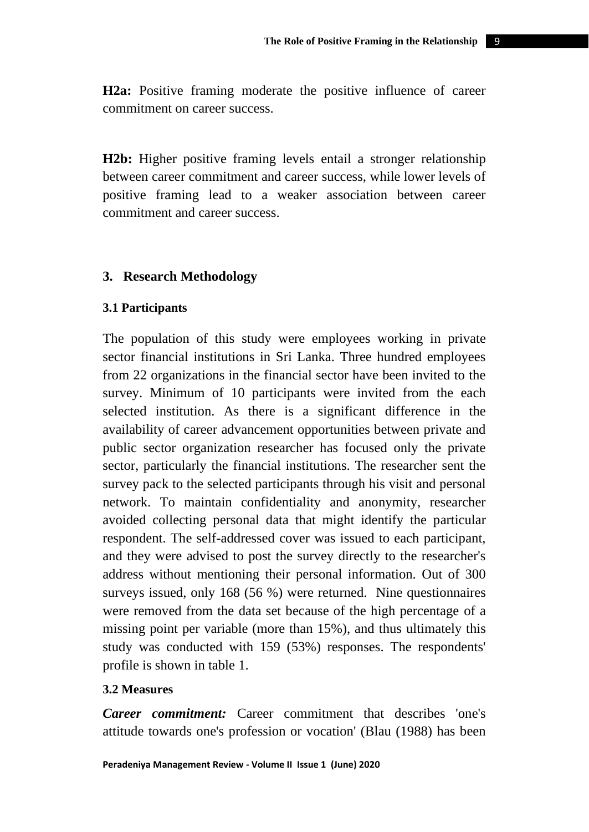**H2a:** Positive framing moderate the positive influence of career commitment on career success.

**H2b:** Higher positive framing levels entail a stronger relationship between career commitment and career success, while lower levels of positive framing lead to a weaker association between career commitment and career success.

### **3. Research Methodology**

### **3.1 Participants**

The population of this study were employees working in private sector financial institutions in Sri Lanka. Three hundred employees from 22 organizations in the financial sector have been invited to the survey. Minimum of 10 participants were invited from the each selected institution. As there is a significant difference in the availability of career advancement opportunities between private and public sector organization researcher has focused only the private sector, particularly the financial institutions. The researcher sent the survey pack to the selected participants through his visit and personal network. To maintain confidentiality and anonymity, researcher avoided collecting personal data that might identify the particular respondent. The self-addressed cover was issued to each participant, and they were advised to post the survey directly to the researcher's address without mentioning their personal information. Out of 300 surveys issued, only 168 (56 %) were returned. Nine questionnaires were removed from the data set because of the high percentage of a missing point per variable (more than 15%), and thus ultimately this study was conducted with 159 (53%) responses. The respondents' profile is shown in table 1.

### **3.2 Measures**

*Career commitment:* Career commitment that describes 'one's attitude towards one's profession or vocation' (Blau (1988) has been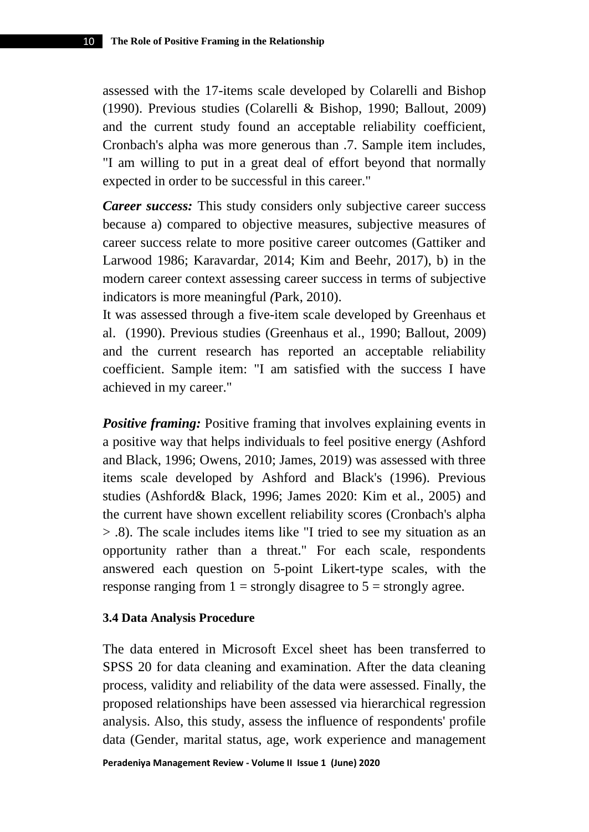assessed with the 17-items scale developed by Colarelli and Bishop (1990). Previous studies (Colarelli & Bishop, 1990; Ballout, 2009) and the current study found an acceptable reliability coefficient, Cronbach's alpha was more generous than .7. Sample item includes, "I am willing to put in a great deal of effort beyond that normally expected in order to be successful in this career."

*Career success:* This study considers only subjective career success because a) compared to objective measures, subjective measures of career success relate to more positive career outcomes (Gattiker and Larwood 1986; Karavardar, 2014; Kim and Beehr, 2017), b) in the modern career context assessing career success in terms of subjective indicators is more meaningful *(*Park, 2010).

It was assessed through a five-item scale developed by Greenhaus et al. (1990). Previous studies (Greenhaus et al., 1990; Ballout, 2009) and the current research has reported an acceptable reliability coefficient. Sample item: "I am satisfied with the success I have achieved in my career."

**Positive framing:** Positive framing that involves explaining events in a positive way that helps individuals to feel positive energy (Ashford and Black, 1996; Owens, 2010; James, 2019) was assessed with three items scale developed by Ashford and Black's (1996). Previous studies (Ashford& Black, 1996; James 2020: Kim et al., 2005) and the current have shown excellent reliability scores (Cronbach's alpha > .8). The scale includes items like "I tried to see my situation as an opportunity rather than a threat." For each scale, respondents answered each question on 5-point Likert-type scales, with the response ranging from  $1 =$  strongly disagree to  $5 =$  strongly agree.

### **3.4 Data Analysis Procedure**

The data entered in Microsoft Excel sheet has been transferred to SPSS 20 for data cleaning and examination. After the data cleaning process, validity and reliability of the data were assessed. Finally, the proposed relationships have been assessed via hierarchical regression analysis. Also, this study, assess the influence of respondents' profile data (Gender, marital status, age, work experience and management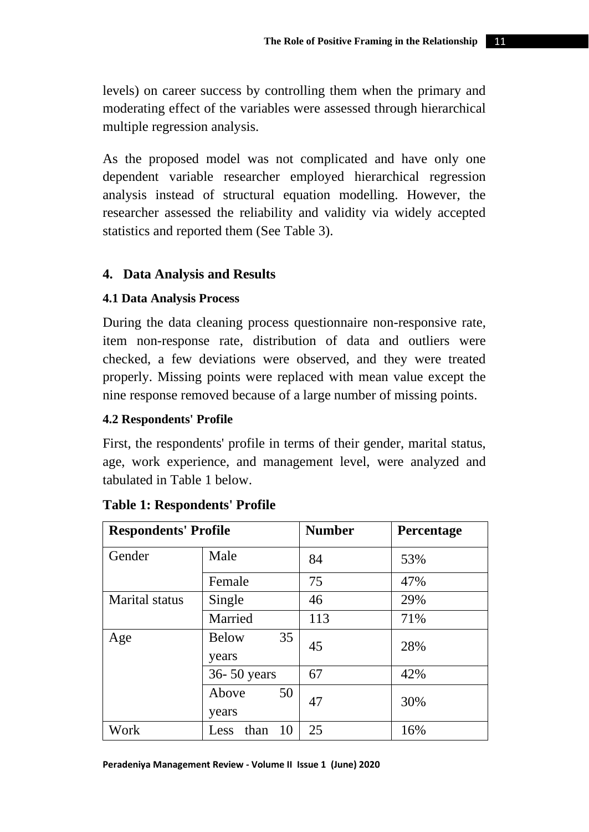levels) on career success by controlling them when the primary and moderating effect of the variables were assessed through hierarchical multiple regression analysis.

As the proposed model was not complicated and have only one dependent variable researcher employed hierarchical regression analysis instead of structural equation modelling. However, the researcher assessed the reliability and validity via widely accepted statistics and reported them (See Table 3).

# **4. Data Analysis and Results**

# **4.1 Data Analysis Process**

During the data cleaning process questionnaire non-responsive rate, item non-response rate, distribution of data and outliers were checked, a few deviations were observed, and they were treated properly. Missing points were replaced with mean value except the nine response removed because of a large number of missing points.

# **4.2 Respondents' Profile**

First, the respondents' profile in terms of their gender, marital status, age, work experience, and management level, were analyzed and tabulated in Table 1 below.

| <b>Respondents' Profile</b> |                             | <b>Number</b> | Percentage |
|-----------------------------|-----------------------------|---------------|------------|
| Gender                      | Male                        | 84            | 53%        |
|                             | Female                      | 75            | 47%        |
| Marital status              | Single                      | 46            | 29%        |
|                             | Married                     | 113           | 71%        |
| Age                         | 35<br><b>Below</b><br>years | 45            | 28%        |
|                             | 36-50 years                 | 67            | 42%        |
|                             | 50<br>Above<br>years        | 47            | 30%        |
| Work                        | 10<br>than<br>Less          | 25            | 16%        |

# **Table 1: Respondents' Profile**

#### **Peradeniya Management Review - Volume II Issue 1 (June) 2020**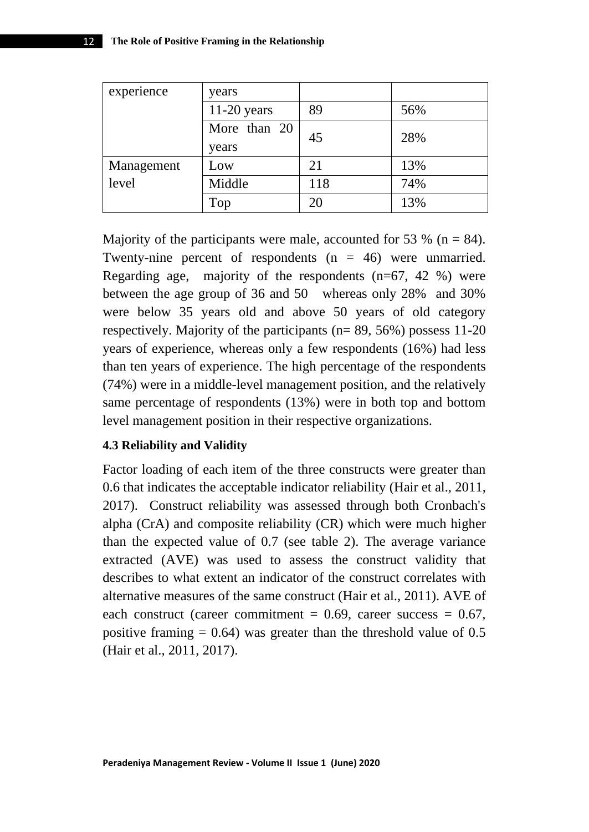| experience | years         |     |     |  |
|------------|---------------|-----|-----|--|
|            | $11-20$ years | 89  | 56% |  |
|            | More than 20  | 45  | 28% |  |
|            | years         |     |     |  |
| Management | Low           | 21  | 13% |  |
| level      | Middle        | 118 | 74% |  |
|            | Top           | 20  | 13% |  |

Majority of the participants were male, accounted for 53 % ( $n = 84$ ). Twenty-nine percent of respondents  $(n = 46)$  were unmarried. Regarding age, majority of the respondents  $(n=67, 42, 8)$  were between the age group of 36 and 50 whereas only 28% and 30% were below 35 years old and above 50 years of old category respectively. Majority of the participants (n= 89, 56%) possess 11-20 years of experience, whereas only a few respondents (16%) had less than ten years of experience. The high percentage of the respondents (74%) were in a middle-level management position, and the relatively same percentage of respondents (13%) were in both top and bottom level management position in their respective organizations.

#### **4.3 Reliability and Validity**

Factor loading of each item of the three constructs were greater than 0.6 that indicates the acceptable indicator reliability (Hair et al., 2011, 2017). Construct reliability was assessed through both Cronbach's alpha (CrA) and composite reliability (CR) which were much higher than the expected value of 0.7 (see table 2). The average variance extracted (AVE) was used to assess the construct validity that describes to what extent an indicator of the construct correlates with alternative measures of the same construct (Hair et al., 2011). AVE of each construct (career commitment =  $0.69$ , career success =  $0.67$ , positive framing  $= 0.64$ ) was greater than the threshold value of 0.5 (Hair et al., 2011, 2017).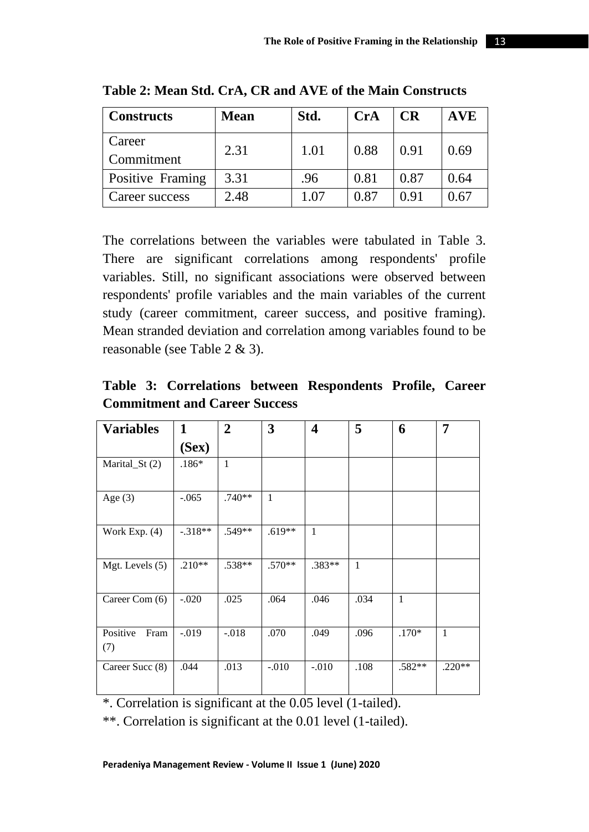| <b>Constructs</b>    | <b>Mean</b> | Std. | <b>CrA</b> | <b>CR</b> | <b>AVE</b> |
|----------------------|-------------|------|------------|-----------|------------|
| Career<br>Commitment | 2.31        | 1.01 | 0.88       | 0.91      | 0.69       |
| Positive Framing     | 3.31        | .96  | 0.81       | 0.87      | 0.64       |
| Career success       | 2.48        | 1.07 | 0.87       | 0.91      | 0.67       |

**Table 2: Mean Std. CrA, CR and AVE of the Main Constructs** 

The correlations between the variables were tabulated in Table 3. There are significant correlations among respondents' profile variables. Still, no significant associations were observed between respondents' profile variables and the main variables of the current study (career commitment, career success, and positive framing). Mean stranded deviation and correlation among variables found to be reasonable (see Table 2 & 3).

**Table 3: Correlations between Respondents Profile, Career Commitment and Career Success**

| <b>Variables</b>        | 1         | $\overline{2}$ | 3            | 4        | 5            | 6            | 7            |
|-------------------------|-----------|----------------|--------------|----------|--------------|--------------|--------------|
|                         | (Sex)     |                |              |          |              |              |              |
| Marital $St(2)$         | $.186*$   | $\mathbf{1}$   |              |          |              |              |              |
| Age $(3)$               | $-.065$   | $.740**$       | $\mathbf{1}$ |          |              |              |              |
| Work Exp. $(4)$         | $-.318**$ | .549**         | $.619**$     | 1        |              |              |              |
| Mgt. Levels $(5)$       | $.210**$  | .538**         | $.570**$     | $.383**$ | $\mathbf{1}$ |              |              |
| Career Com (6)          | $-.020$   | .025           | .064         | .046     | .034         | $\mathbf{1}$ |              |
| Positive<br>Fram<br>(7) | $-.019$   | $-.018$        | .070         | .049     | .096         | $.170*$      | $\mathbf{1}$ |
| Career Succ (8)         | .044      | .013           | $-.010$      | $-.010$  | .108         | $.582**$     | $.220**$     |

 $*$ . Correlation is significant at the  $\overline{0.05}$  level (1-tailed).

\*\*. Correlation is significant at the 0.01 level (1-tailed).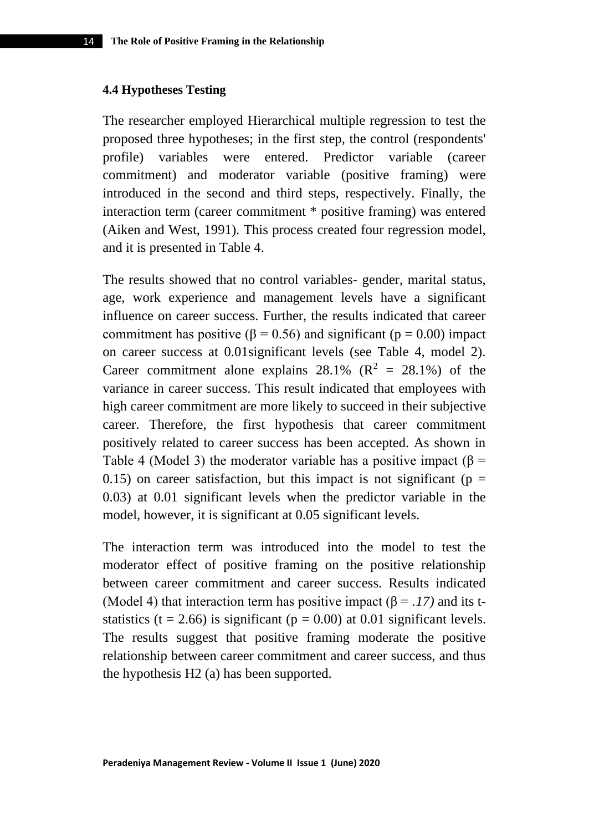#### **4.4 Hypotheses Testing**

The researcher employed Hierarchical multiple regression to test the proposed three hypotheses; in the first step, the control (respondents' profile) variables were entered. Predictor variable (career commitment) and moderator variable (positive framing) were introduced in the second and third steps, respectively. Finally, the interaction term (career commitment \* positive framing) was entered (Aiken and West, 1991). This process created four regression model, and it is presented in Table 4.

The results showed that no control variables- gender, marital status, age, work experience and management levels have a significant influence on career success. Further, the results indicated that career commitment has positive ( $\beta$  = 0.56) and significant ( $p$  = 0.00) impact on career success at 0.01significant levels (see Table 4, model 2). Career commitment alone explains 28.1% ( $\mathbb{R}^2$  = 28.1%) of the variance in career success. This result indicated that employees with high career commitment are more likely to succeed in their subjective career. Therefore, the first hypothesis that career commitment positively related to career success has been accepted. As shown in Table 4 (Model 3) the moderator variable has a positive impact ( $\beta$  = 0.15) on career satisfaction, but this impact is not significant ( $p =$ 0.03) at 0.01 significant levels when the predictor variable in the model, however, it is significant at 0.05 significant levels.

The interaction term was introduced into the model to test the moderator effect of positive framing on the positive relationship between career commitment and career success. Results indicated (Model 4) that interaction term has positive impact  $(\beta = .17)$  and its tstatistics (t = 2.66) is significant ( $p = 0.00$ ) at 0.01 significant levels. The results suggest that positive framing moderate the positive relationship between career commitment and career success, and thus the hypothesis H2 (a) has been supported.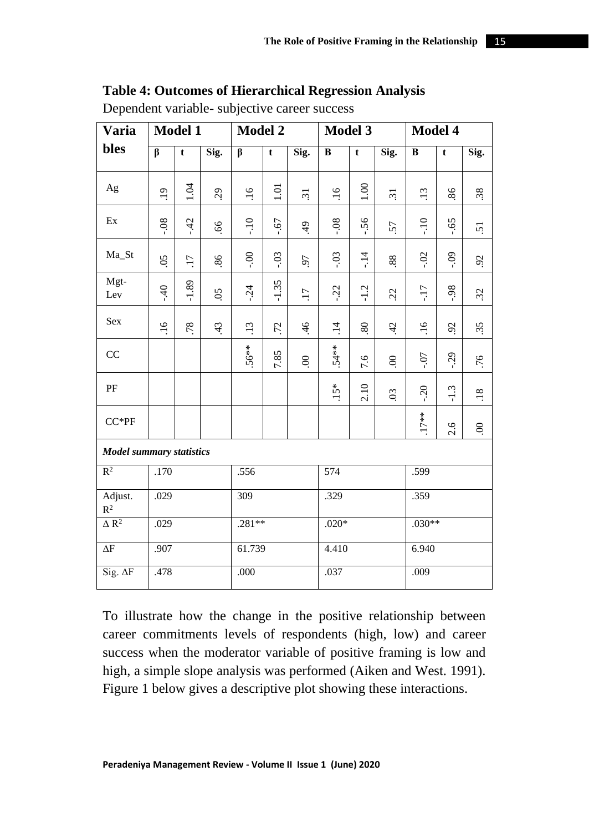# **Table 4: Outcomes of Hierarchical Regression Analysis**

| <b>Varia</b>                    | <b>Model 1</b>  |                 |                | <b>Model 2</b>  |         | <b>Model 3</b>  |                 |             | Model 4         |               |                       |                       |
|---------------------------------|-----------------|-----------------|----------------|-----------------|---------|-----------------|-----------------|-------------|-----------------|---------------|-----------------------|-----------------------|
| bles                            | $\beta$         | t               | Sig.           | β               | t       | Sig.            | B               | $\mathbf t$ | Sig.            | B             | t                     | Sig.                  |
| Ag                              | $\ddot{.}$      | 1.04            | $\overline{c}$ | $\ddot{0}$      | 1.01    | $\overline{31}$ | $\overline{16}$ | 1.00        | $\overline{31}$ | $\ddot{13}$   | 86                    | 38                    |
| Ex                              | $80 -$          | $-42$           | 89             | $-10$           | $-67$   | $\frac{4}{3}$   | $80 -$          | $-56$       | 57              | $-10$         | $-65$                 | 5                     |
| Ma_St                           | $\overline{50}$ | $\overline{17}$ | 86             | $-0.0$          | $-0.3$  | 50              | $-0.3$          | $-14$       | $88\,$          | $-0.2$        | $-0.9$                | $\tilde{\mathcal{S}}$ |
| Mgt-<br>Lev                     | $-40$           | $-1.89$         | 65             | $-24$           | $-1.35$ | $\overline{11}$ | $-22$           | $-1.2$      | 22              | $-17$         | $86 -$                | 32                    |
| Sex                             | $\overline{91}$ | 78              | 43             | $\overline{13}$ | 72      | $\overline{46}$ | $\overline{14}$ | $80\,$      | $\ddot{d}$      | $\frac{6}{1}$ | $\tilde{\mathcal{E}}$ | 35                    |
| CC                              |                 |                 |                | 56**            | 7.85    | $\infty$        | $.54**$         | 7.6         | $\infty$        | $10-1$        | $-29$                 | .76                   |
| PF                              |                 |                 |                |                 |         |                 | $.15*$          | 2.10        | $\overline{0}$  | $-20$         | $-1.3$                | $\overline{18}$       |
| $CC*PF$                         |                 |                 |                |                 |         |                 |                 |             |                 | $.17***$      | 2.6                   | $\infty$              |
| <b>Model summary statistics</b> |                 |                 |                |                 |         |                 |                 |             |                 |               |                       |                       |
| $R^2$                           | .170            |                 |                | .556            |         |                 | 574             |             |                 | .599          |                       |                       |
| Adjust.<br>$\mathbb{R}^2$       | .029            |                 |                | 309             |         |                 | .329            |             | .359            |               |                       |                       |
| $\overline{\Delta R^2}$         | .029            |                 |                | $.281**$        |         | $.020*$         |                 | $.030**$    |                 |               |                       |                       |
| $\Delta F$                      | .907            |                 |                | 61.739          |         |                 | 4.410           |             | 6.940           |               |                       |                       |
| Sig. $\Delta F$                 | .478            |                 |                | .000            |         |                 | .037            |             | .009            |               |                       |                       |

Dependent variable- subjective career success

To illustrate how the change in the positive relationship between career commitments levels of respondents (high, low) and career success when the moderator variable of positive framing is low and high, a simple slope analysis was performed (Aiken and West. 1991). Figure 1 below gives a descriptive plot showing these interactions.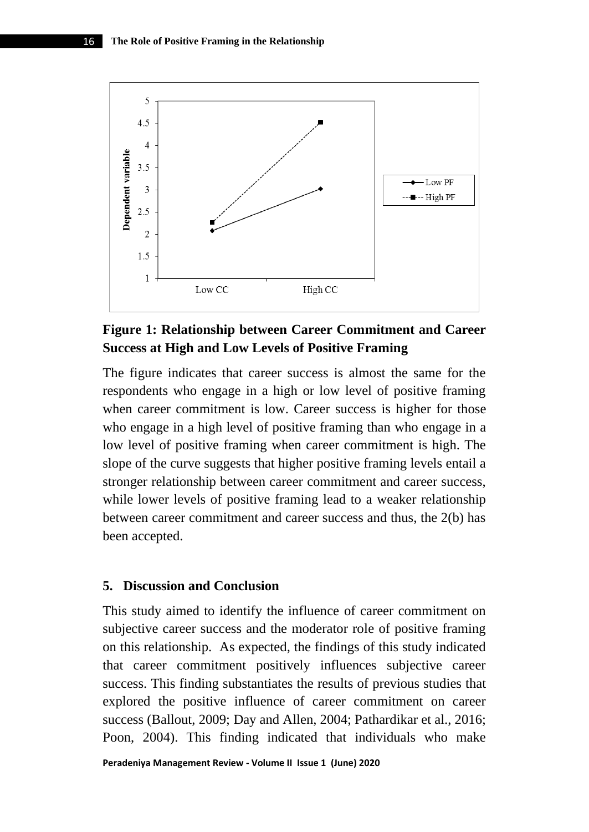

# **Figure 1: Relationship between Career Commitment and Career Success at High and Low Levels of Positive Framing**

The figure indicates that career success is almost the same for the respondents who engage in a high or low level of positive framing when career commitment is low. Career success is higher for those who engage in a high level of positive framing than who engage in a low level of positive framing when career commitment is high. The slope of the curve suggests that higher positive framing levels entail a stronger relationship between career commitment and career success, while lower levels of positive framing lead to a weaker relationship between career commitment and career success and thus, the 2(b) has been accepted.

### **5. Discussion and Conclusion**

This study aimed to identify the influence of career commitment on subjective career success and the moderator role of positive framing on this relationship. As expected, the findings of this study indicated that career commitment positively influences subjective career success. This finding substantiates the results of previous studies that explored the positive influence of career commitment on career success (Ballout, 2009; Day and Allen, 2004; Pathardikar et al., 2016; Poon, 2004). This finding indicated that individuals who make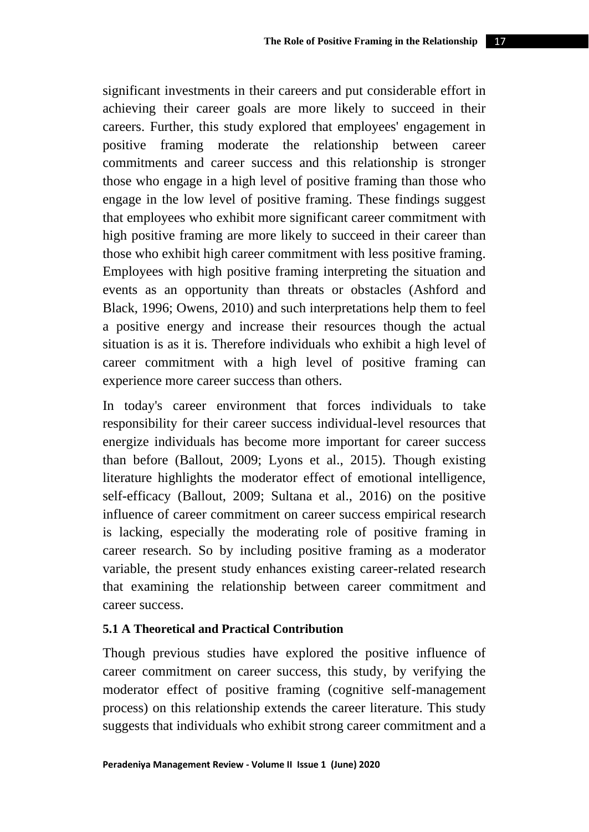significant investments in their careers and put considerable effort in achieving their career goals are more likely to succeed in their careers. Further, this study explored that employees' engagement in positive framing moderate the relationship between career commitments and career success and this relationship is stronger those who engage in a high level of positive framing than those who engage in the low level of positive framing. These findings suggest that employees who exhibit more significant career commitment with high positive framing are more likely to succeed in their career than those who exhibit high career commitment with less positive framing. Employees with high positive framing interpreting the situation and events as an opportunity than threats or obstacles (Ashford and Black, 1996; Owens, 2010) and such interpretations help them to feel a positive energy and increase their resources though the actual situation is as it is. Therefore individuals who exhibit a high level of career commitment with a high level of positive framing can experience more career success than others.

In today's career environment that forces individuals to take responsibility for their career success individual-level resources that energize individuals has become more important for career success than before (Ballout, 2009; Lyons et al., 2015). Though existing literature highlights the moderator effect of emotional intelligence, self-efficacy (Ballout, 2009; Sultana et al., 2016) on the positive influence of career commitment on career success empirical research is lacking, especially the moderating role of positive framing in career research. So by including positive framing as a moderator variable, the present study enhances existing career-related research that examining the relationship between career commitment and career success.

### **5.1 A Theoretical and Practical Contribution**

Though previous studies have explored the positive influence of career commitment on career success, this study, by verifying the moderator effect of positive framing (cognitive self-management process) on this relationship extends the career literature. This study suggests that individuals who exhibit strong career commitment and a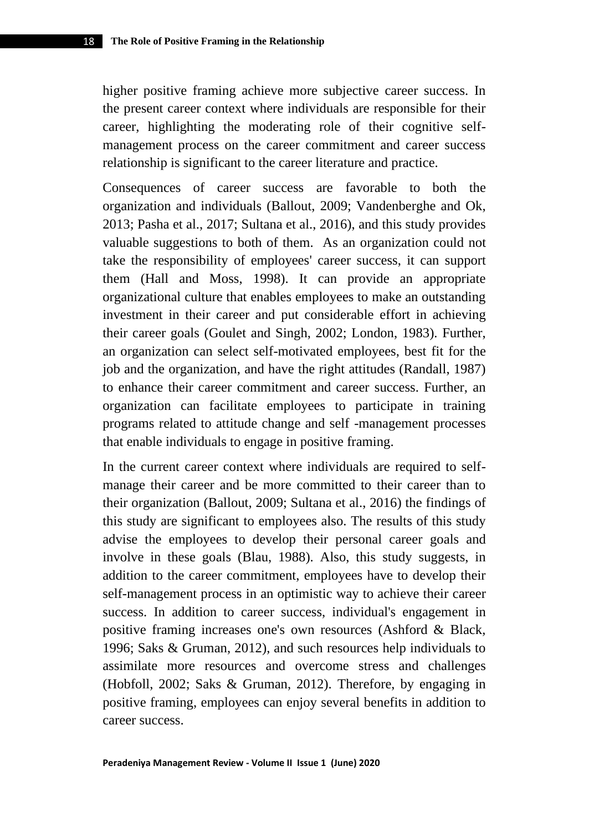higher positive framing achieve more subjective career success. In the present career context where individuals are responsible for their career, highlighting the moderating role of their cognitive selfmanagement process on the career commitment and career success relationship is significant to the career literature and practice.

Consequences of career success are favorable to both the organization and individuals (Ballout, 2009; Vandenberghe and Ok, 2013; Pasha et al., 2017; Sultana et al., 2016), and this study provides valuable suggestions to both of them. As an organization could not take the responsibility of employees' career success, it can support them (Hall and Moss, 1998). It can provide an appropriate organizational culture that enables employees to make an outstanding investment in their career and put considerable effort in achieving their career goals (Goulet and Singh, 2002; London, 1983). Further, an organization can select self-motivated employees, best fit for the job and the organization, and have the right attitudes (Randall, 1987) to enhance their career commitment and career success. Further, an organization can facilitate employees to participate in training programs related to attitude change and self -management processes that enable individuals to engage in positive framing.

In the current career context where individuals are required to selfmanage their career and be more committed to their career than to their organization (Ballout, 2009; Sultana et al., 2016) the findings of this study are significant to employees also. The results of this study advise the employees to develop their personal career goals and involve in these goals (Blau, 1988). Also, this study suggests, in addition to the career commitment, employees have to develop their self-management process in an optimistic way to achieve their career success. In addition to career success, individual's engagement in positive framing increases one's own resources (Ashford & Black, 1996; Saks & Gruman, 2012), and such resources help individuals to assimilate more resources and overcome stress and challenges (Hobfoll, 2002; Saks & Gruman, 2012). Therefore, by engaging in positive framing, employees can enjoy several benefits in addition to career success.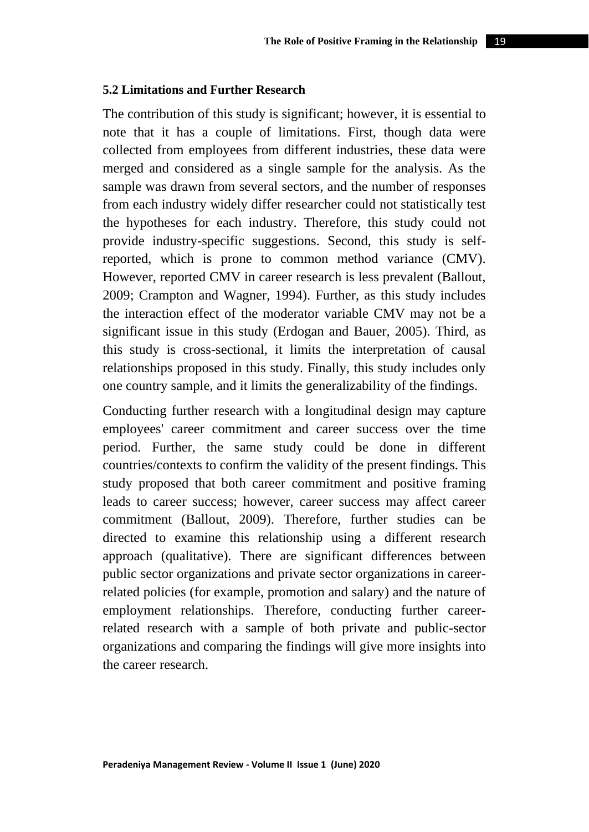#### **5.2 Limitations and Further Research**

The contribution of this study is significant; however, it is essential to note that it has a couple of limitations. First, though data were collected from employees from different industries, these data were merged and considered as a single sample for the analysis. As the sample was drawn from several sectors, and the number of responses from each industry widely differ researcher could not statistically test the hypotheses for each industry. Therefore, this study could not provide industry-specific suggestions. Second, this study is selfreported, which is prone to common method variance (CMV). However, reported CMV in career research is less prevalent (Ballout, 2009; Crampton and Wagner, 1994). Further, as this study includes the interaction effect of the moderator variable CMV may not be a significant issue in this study (Erdogan and Bauer, 2005). Third, as this study is cross-sectional, it limits the interpretation of causal relationships proposed in this study. Finally, this study includes only one country sample, and it limits the generalizability of the findings.

Conducting further research with a longitudinal design may capture employees' career commitment and career success over the time period. Further, the same study could be done in different countries/contexts to confirm the validity of the present findings. This study proposed that both career commitment and positive framing leads to career success; however, career success may affect career commitment (Ballout, 2009). Therefore, further studies can be directed to examine this relationship using a different research approach (qualitative). There are significant differences between public sector organizations and private sector organizations in careerrelated policies (for example, promotion and salary) and the nature of employment relationships. Therefore, conducting further careerrelated research with a sample of both private and public-sector organizations and comparing the findings will give more insights into the career research.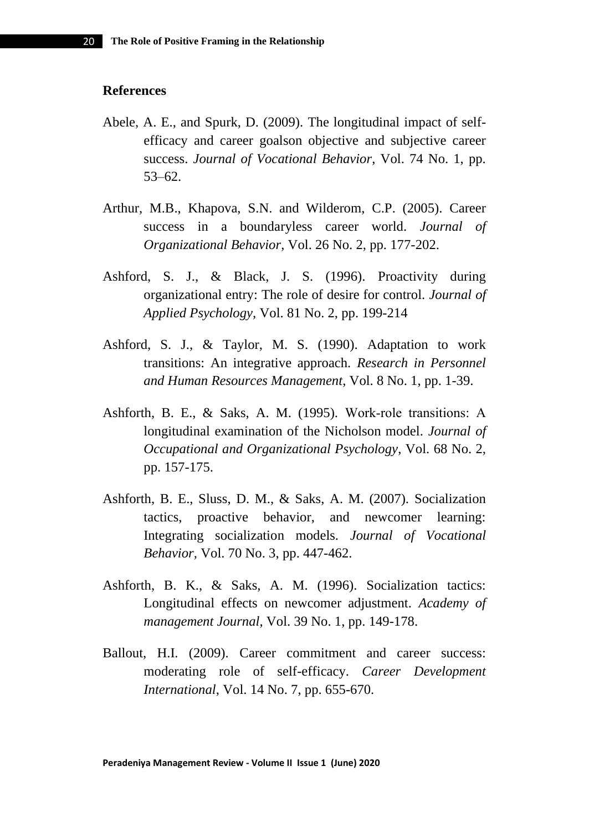### **References**

- Abele, A. E., and Spurk, D. (2009). The longitudinal impact of selfefficacy and career goalson objective and subjective career success. *Journal of Vocational Behavior*, Vol. 74 No. 1, pp. 53–62.
- Arthur, M.B., Khapova, S.N. and Wilderom, C.P. (2005). Career success in a boundaryless career world. *Journal of Organizational Behavior*, Vol. 26 No. 2, pp. 177-202.
- Ashford, S. J., & Black, J. S. (1996). Proactivity during organizational entry: The role of desire for control. *Journal of Applied Psychology,* Vol. 81 No. 2, pp. 199-214
- Ashford, S. J., & Taylor, M. S. (1990). Adaptation to work transitions: An integrative approach. *Research in Personnel and Human Resources Management*, Vol. 8 No. 1, pp. 1-39.
- Ashforth, B. E., & Saks, A. M. (1995). Work‐role transitions: A longitudinal examination of the Nicholson model. *Journal of Occupational and Organizational Psychology*, Vol. 68 No. 2, pp. 157-175.
- Ashforth, B. E., Sluss, D. M., & Saks, A. M. (2007). Socialization tactics, proactive behavior, and newcomer learning: Integrating socialization models. *Journal of Vocational Behavior,* Vol. 70 No. 3, pp. 447-462.
- Ashforth, B. K., & Saks, A. M. (1996). Socialization tactics: Longitudinal effects on newcomer adjustment. *Academy of management Journal*, Vol. 39 No. 1, pp. 149-178.
- Ballout, H.I. (2009). Career commitment and career success: moderating role of self-efficacy. *Career Development International*, Vol. 14 No. 7, pp. 655-670.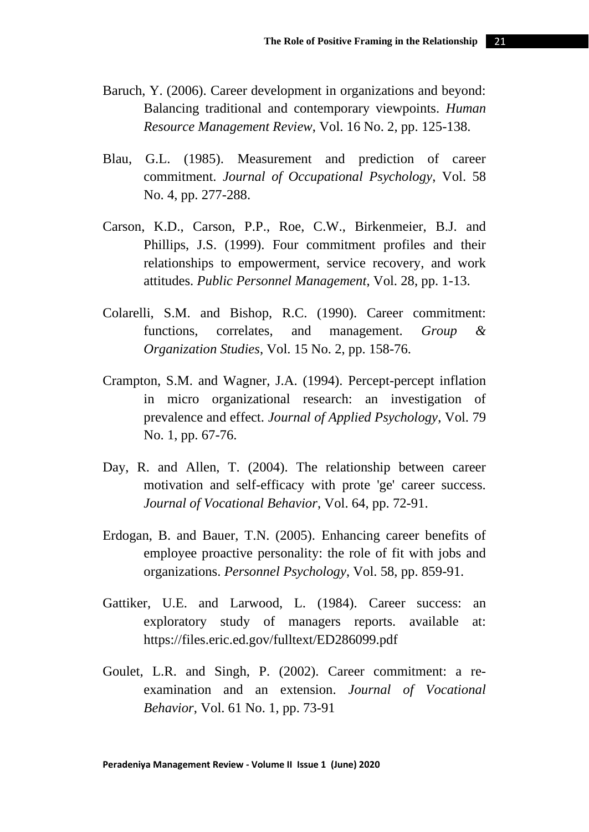- Baruch, Y. (2006). Career development in organizations and beyond: Balancing traditional and contemporary viewpoints. *Human Resource Management Review*, Vol. 16 No. 2, pp. 125-138.
- Blau, G.L. (1985). Measurement and prediction of career commitment. *Journal of Occupational Psychology*, Vol. 58 No. 4, pp. 277-288.
- Carson, K.D., Carson, P.P., Roe, C.W., Birkenmeier, B.J. and Phillips, J.S. (1999). Four commitment profiles and their relationships to empowerment, service recovery, and work attitudes. *Public Personnel Management*, Vol. 28, pp. 1-13.
- Colarelli, S.M. and Bishop, R.C. (1990). Career commitment: functions, correlates, and management. *Group & Organization Studies*, Vol. 15 No. 2, pp. 158-76.
- Crampton, S.M. and Wagner, J.A. (1994). Percept-percept inflation in micro organizational research: an investigation of prevalence and effect. *Journal of Applied Psychology*, Vol. 79 No. 1, pp. 67-76.
- Day, R. and Allen, T. (2004). The relationship between career motivation and self-efficacy with prote 'ge' career success. *Journal of Vocational Behavior*, Vol. 64, pp. 72-91.
- Erdogan, B. and Bauer, T.N. (2005). Enhancing career benefits of employee proactive personality: the role of fit with jobs and organizations. *Personnel Psychology*, Vol. 58, pp. 859-91.
- Gattiker, U.E. and Larwood, L. (1984). Career success: an exploratory study of managers reports. available at: https://files.eric.ed.gov/fulltext/ED286099.pdf
- Goulet, L.R. and Singh, P. (2002). Career commitment: a reexamination and an extension. *Journal of Vocational Behavior*, Vol. 61 No. 1, pp. 73-91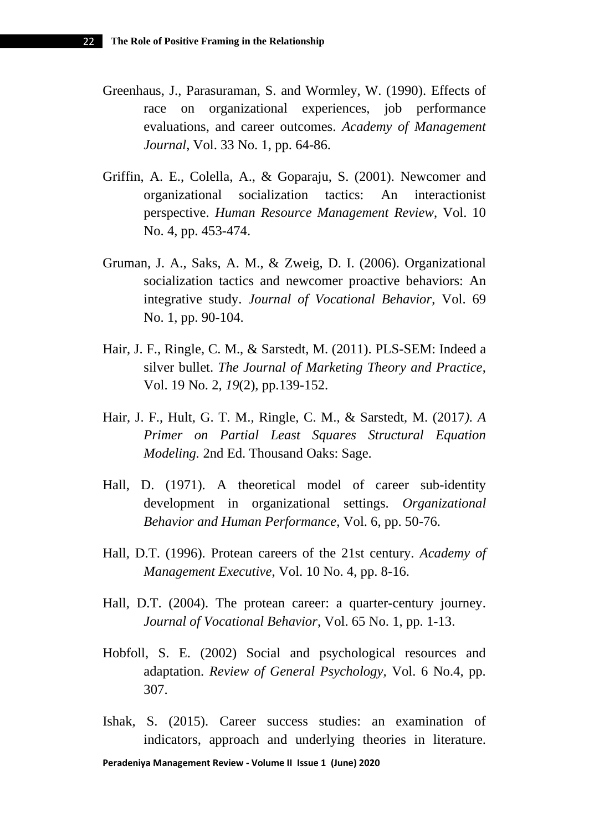- Greenhaus, J., Parasuraman, S. and Wormley, W. (1990). Effects of race on organizational experiences, job performance evaluations, and career outcomes. *Academy of Management Journal*, Vol. 33 No. 1, pp. 64-86.
- Griffin, A. E., Colella, A., & Goparaju, S. (2001). Newcomer and organizational socialization tactics: An interactionist perspective. *Human Resource Management Review*, Vol. 10 No. 4, pp. 453-474.
- Gruman, J. A., Saks, A. M., & Zweig, D. I. (2006). Organizational socialization tactics and newcomer proactive behaviors: An integrative study. *Journal of Vocational Behavior*, Vol. 69 No. 1, pp. 90-104.
- Hair, J. F., Ringle, C. M., & Sarstedt, M. (2011). PLS-SEM: Indeed a silver bullet. *The Journal of Marketing Theory and Practice*, Vol. 19 No. 2, *19*(2), pp.139-152.
- Hair, J. F., Hult, G. T. M., Ringle, C. M., & Sarstedt, M. (2017*). [A](https://amzn.to/2Ijhrv4)  [Primer on Partial Least Squares Structural Equation](https://amzn.to/2Ijhrv4)  [Modeling.](https://amzn.to/2Ijhrv4)* 2nd Ed. Thousand Oaks: Sage.
- Hall, D. (1971). A theoretical model of career sub-identity development in organizational settings. *Organizational Behavior and Human Performance*, Vol. 6, pp. 50-76.
- Hall, D.T. (1996). Protean careers of the 21st century. *Academy of Management Executive*, Vol. 10 No. 4, pp. 8-16.
- Hall, D.T. (2004). The protean career: a quarter-century journey. *Journal of Vocational Behavior*, Vol. 65 No. 1, pp. 1-13.
- Hobfoll, S. E. (2002) Social and psychological resources and adaptation. *Review of General Psychology,* Vol. 6 No.4, pp. 307.
- Ishak, S. (2015). Career success studies: an examination of indicators, approach and underlying theories in literature.

**Peradeniya Management Review - Volume II Issue 1 (June) 2020**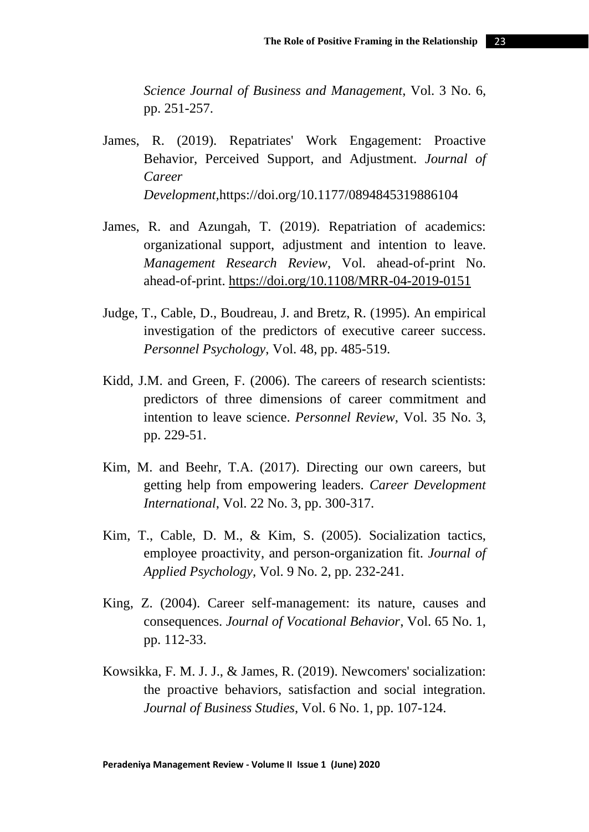*Science Journal of Business and Management*, Vol. 3 No. 6, pp. 251-257.

- James, R. (2019). Repatriates' Work Engagement: Proactive Behavior, Perceived Support, and Adjustment. *Journal of Career Development,*https://doi.org/10.1177/0894845319886104
- James, R. and Azungah, T. (2019). Repatriation of academics: organizational support, adjustment and intention to leave. *Management Research Review*, Vol. ahead-of-print No. ahead-of-print.<https://doi.org/10.1108/MRR-04-2019-0151>
- Judge, T., Cable, D., Boudreau, J. and Bretz, R. (1995). An empirical investigation of the predictors of executive career success. *Personnel Psychology*, Vol. 48, pp. 485-519.
- Kidd, J.M. and Green, F. (2006). The careers of research scientists: predictors of three dimensions of career commitment and intention to leave science. *Personnel Review*, Vol. 35 No. 3, pp. 229-51.
- Kim, M. and Beehr, T.A. (2017). Directing our own careers, but getting help from empowering leaders. *Career Development International*, Vol. 22 No. 3, pp. 300-317.
- Kim, T., Cable, D. M., & Kim, S. (2005). Socialization tactics, employee proactivity, and person-organization fit. *Journal of Applied Psychology,* Vol. 9 No. 2, pp. 232-241.
- King, Z. (2004). Career self-management: its nature, causes and consequences. *Journal of Vocational Behavior*, Vol. 65 No. 1, pp. 112-33.
- Kowsikka, F. M. J. J., & James, R. (2019). Newcomers' socialization: the proactive behaviors, satisfaction and social integration. *Journal of Business Studies*, Vol. 6 No. 1, pp. 107-124.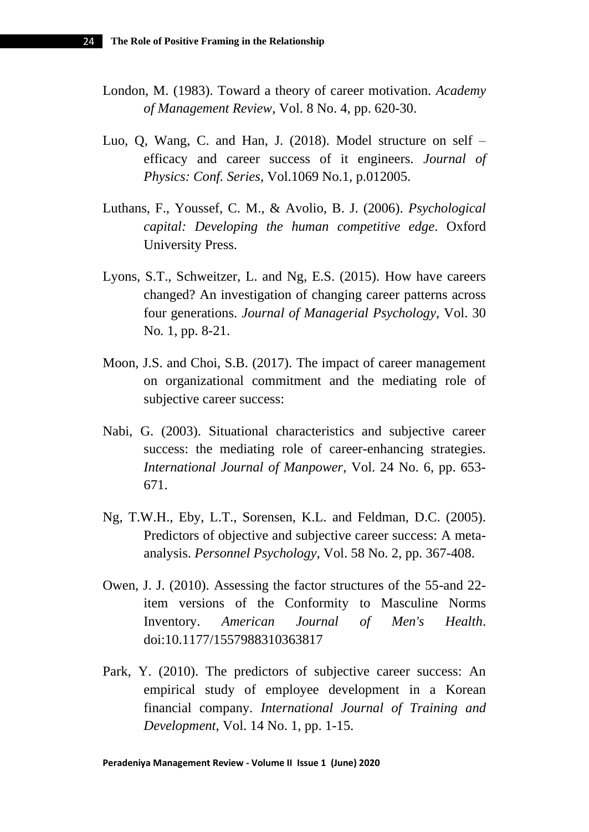- London, M. (1983). Toward a theory of career motivation. *Academy of Management Review*, Vol. 8 No. 4, pp. 620-30.
- Luo, Q, Wang, C. and Han, J. (2018). Model structure on self efficacy and career success of it engineers. *Journal of Physics: Conf. Series*, Vol.1069 No.1, p.012005.
- Luthans, F., Youssef, C. M., & Avolio, B. J. (2006). *Psychological capital: Developing the human competitive edge*. Oxford University Press.
- Lyons, S.T., Schweitzer, L. and Ng, E.S. (2015). How have careers changed? An investigation of changing career patterns across four generations. *Journal of Managerial Psychology*, Vol. 30 No*.* 1, pp. 8-21.
- Moon, J.S. and Choi, S.B. (2017). The impact of career management on organizational commitment and the mediating role of subjective career success:
- Nabi, G. (2003). Situational characteristics and subjective career success: the mediating role of career-enhancing strategies. *International Journal of Manpower*, Vol. 24 No. 6, pp. 653- 671.
- Ng, T.W.H., Eby, L.T., Sorensen, K.L. and Feldman, D.C. (2005). Predictors of objective and subjective career success: A metaanalysis. *Personnel Psychology*, Vol. 58 No. 2, pp. 367-408.
- Owen, J. J. (2010). Assessing the factor structures of the 55-and 22 item versions of the Conformity to Masculine Norms Inventory. *American Journal of Men's Health*. doi:10.1177/1557988310363817
- Park, Y. (2010). The predictors of subjective career success: An empirical study of employee development in a Korean financial company. *International Journal of Training and Development*, Vol. 14 No. 1, pp. 1-15.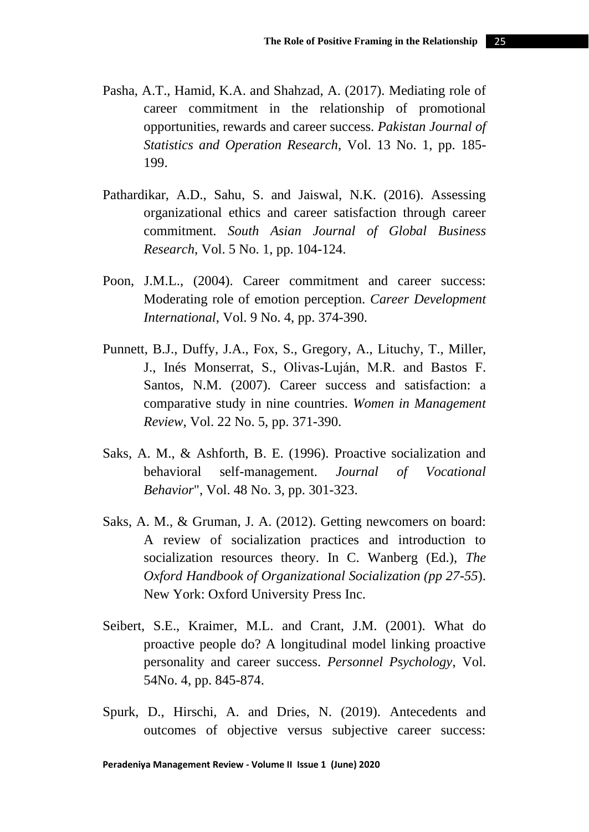- Pasha, A.T., Hamid, K.A. and Shahzad, A. (2017). Mediating role of career commitment in the relationship of promotional opportunities, rewards and career success. *Pakistan Journal of Statistics and Operation Research*, Vol. 13 No. 1, pp. 185- 199.
- Pathardikar, A.D., Sahu, S. and Jaiswal, N.K. (2016). Assessing organizational ethics and career satisfaction through career commitment. *South Asian Journal of Global Business Research*, Vol. 5 No. 1, pp. 104-124.
- Poon, J.M.L., (2004). Career commitment and career success: Moderating role of emotion perception. *Career Development International*, Vol. 9 No. 4, pp. 374-390.
- [Punnett, B.J.,](https://www.emerald.com/insight/search?q=Betty%20Jane%20Punnett) [Duffy, J.A.,](https://www.emerald.com/insight/search?q=Jo%20Ann%20Duffy) [Fox, S.,](https://www.emerald.com/insight/search?q=Suzy%20Fox) [Gregory, A.,](https://www.emerald.com/insight/search?q=Ann%20Gregory) [Lituchy, T.,](https://www.emerald.com/insight/search?q=Terri%20Lituchy) [Miller,](https://www.emerald.com/insight/search?q=John%20Miller)  [J.,](https://www.emerald.com/insight/search?q=John%20Miller) [Inés Monserrat, S.,](https://www.emerald.com/insight/search?q=Silvia%20In%C3%A9s%20Monserrat) [Olivas‐Luján, M.R.](https://www.emerald.com/insight/search?q=Miguel%20R.%20Olivas%E2%80%90Luj%C3%A1n) and [Bastos F.](https://www.emerald.com/insight/search?q=Neusa%20Maria%20Bastos%20F.%20Santos)  [Santos, N.M.](https://www.emerald.com/insight/search?q=Neusa%20Maria%20Bastos%20F.%20Santos) (2007). Career success and satisfaction: a comparative study in nine countries. *[Women in Management](https://www.emerald.com/insight/publication/issn/0964-9425)  [Review](https://www.emerald.com/insight/publication/issn/0964-9425)*, Vol. 22 No. 5, pp. 371-390.
- Saks, A. M., & Ashforth, B. E. (1996). Proactive socialization and behavioral self-management. *Journal of Vocational Behavior*", Vol. 48 No. 3, pp. 301-323.
- Saks, A. M., & Gruman, J. A. (2012). Getting newcomers on board: A review of socialization practices and introduction to socialization resources theory. In C. Wanberg (Ed.), *The Oxford Handbook of Organizational Socialization (pp 27-55*). New York: Oxford University Press Inc.
- Seibert, S.E., Kraimer, M.L. and Crant, J.M. (2001). What do proactive people do? A longitudinal model linking proactive personality and career success. *Personnel Psychology*, Vol. 54No. 4, pp. 845-874.
- Spurk, D., Hirschi, A. and Dries, N. (2019). Antecedents and outcomes of objective versus subjective career success: